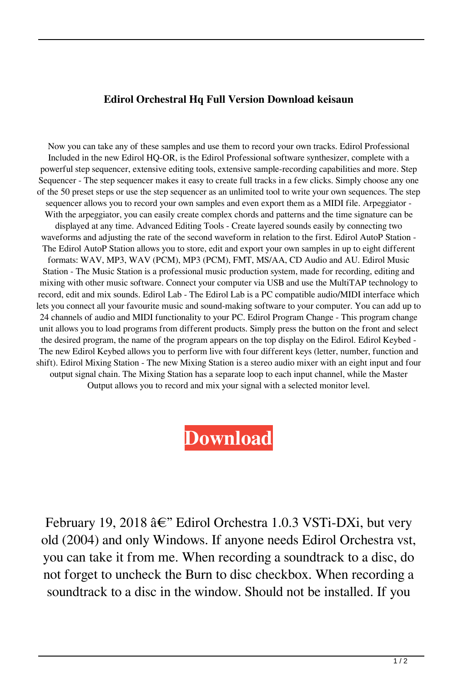## **Edirol Orchestral Hq Full Version Download keisaun**

Now you can take any of these samples and use them to record your own tracks. Edirol Professional Included in the new Edirol HQ-OR, is the Edirol Professional software synthesizer, complete with a powerful step sequencer, extensive editing tools, extensive sample-recording capabilities and more. Step Sequencer - The step sequencer makes it easy to create full tracks in a few clicks. Simply choose any one of the 50 preset steps or use the step sequencer as an unlimited tool to write your own sequences. The step sequencer allows you to record your own samples and even export them as a MIDI file. Arpeggiator - With the arpeggiator, you can easily create complex chords and patterns and the time signature can be displayed at any time. Advanced Editing Tools - Create layered sounds easily by connecting two waveforms and adjusting the rate of the second waveform in relation to the first. Edirol AutoP Station -The Edirol AutoP Station allows you to store, edit and export your own samples in up to eight different formats: WAV, MP3, WAV (PCM), MP3 (PCM), FMT, MS/AA, CD Audio and AU. Edirol Music Station - The Music Station is a professional music production system, made for recording, editing and mixing with other music software. Connect your computer via USB and use the MultiTAP technology to record, edit and mix sounds. Edirol Lab - The Edirol Lab is a PC compatible audio/MIDI interface which lets you connect all your favourite music and sound-making software to your computer. You can add up to 24 channels of audio and MIDI functionality to your PC. Edirol Program Change - This program change unit allows you to load programs from different products. Simply press the button on the front and select the desired program, the name of the program appears on the top display on the Edirol. Edirol Keybed - The new Edirol Keybed allows you to perform live with four different keys (letter, number, function and shift). Edirol Mixing Station - The new Mixing Station is a stereo audio mixer with an eight input and four output signal chain. The Mixing Station has a separate loop to each input channel, while the Master Output allows you to record and mix your signal with a selected monitor level.

## **[Download](http://evacdir.com/ZG93bmxvYWR8ZEEyTW5CaU9IeDhNVFkxTWpRMk16QTFNSHg4TWpVM05IeDhLRTBwSUhKbFlXUXRZbXh2WnlCYlJtRnpkQ0JIUlU1ZA&mosi=hafner.hypothesizing?ZWRpcm9sIG9yY2hlc3RyYWwgaHEgZnVsbCB2ZXJzaW9uIGRvd25sb2FkZWR=fuss)**

February 19, 2018  $\hat{a} \in \mathbb{C}^n$  Edirol Orchestra 1.0.3 VSTi-DXi, but very old (2004) and only Windows. If anyone needs Edirol Orchestra vst, you can take it from me. When recording a soundtrack to a disc, do not forget to uncheck the Burn to disc checkbox. When recording a soundtrack to a disc in the window. Should not be installed. If you